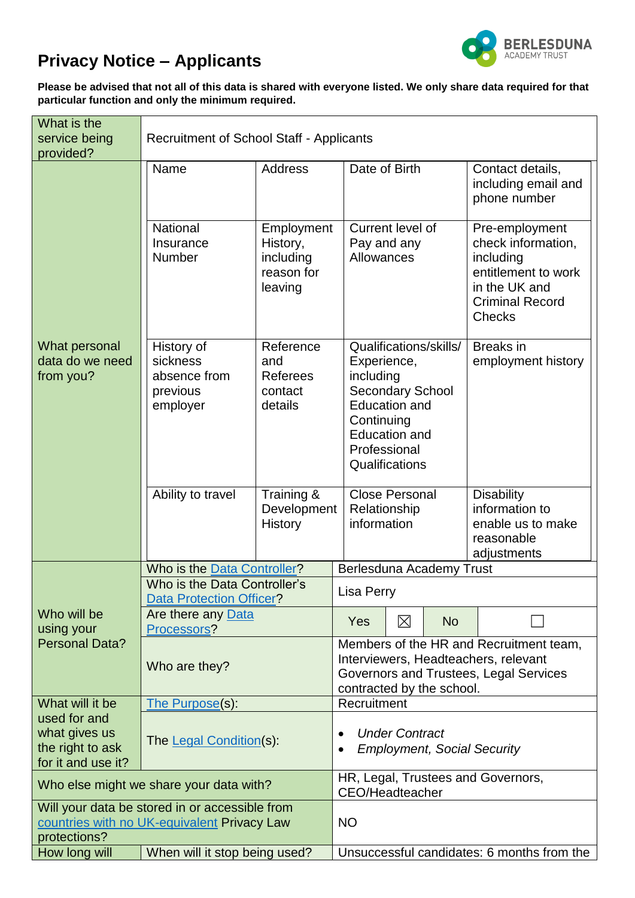

## **Privacy Notice – Applicants**

**Please be advised that not all of this data is shared with everyone listed. We only share data required for that particular function and only the minimum required.**

| What is the<br>service being<br>provided?                                                                     | <b>Recruitment of School Staff - Applicants</b>                 |                                                                                                                                                        |                                                              |                                                                                                                                                                               |  |                                                                                                                                      |  |  |  |
|---------------------------------------------------------------------------------------------------------------|-----------------------------------------------------------------|--------------------------------------------------------------------------------------------------------------------------------------------------------|--------------------------------------------------------------|-------------------------------------------------------------------------------------------------------------------------------------------------------------------------------|--|--------------------------------------------------------------------------------------------------------------------------------------|--|--|--|
| What personal<br>data do we need<br>from you?                                                                 | Name<br><b>Address</b>                                          |                                                                                                                                                        | Date of Birth                                                |                                                                                                                                                                               |  | Contact details,<br>including email and<br>phone number                                                                              |  |  |  |
|                                                                                                               | National<br>Insurance<br>Number                                 | Employment<br>History,<br>including<br>reason for<br>leaving                                                                                           |                                                              | Current level of<br>Pay and any<br>Allowances                                                                                                                                 |  | Pre-employment<br>check information,<br>including<br>entitlement to work<br>in the UK and<br><b>Criminal Record</b><br><b>Checks</b> |  |  |  |
|                                                                                                               | History of<br>sickness<br>absence from<br>previous<br>employer  | Reference<br>and<br><b>Referees</b><br>contact<br>details                                                                                              |                                                              | Qualifications/skills/<br>Experience,<br>including<br><b>Secondary School</b><br><b>Education and</b><br>Continuing<br><b>Education and</b><br>Professional<br>Qualifications |  | <b>Breaks</b> in<br>employment history                                                                                               |  |  |  |
|                                                                                                               | Ability to travel                                               | Training &<br>Development<br><b>History</b>                                                                                                            | <b>Close Personal</b><br>Relationship<br>information         |                                                                                                                                                                               |  | <b>Disability</b><br>information to<br>enable us to make<br>reasonable<br>adjustments                                                |  |  |  |
|                                                                                                               | Who is the Data Controller?                                     | Berlesduna Academy Trust                                                                                                                               |                                                              |                                                                                                                                                                               |  |                                                                                                                                      |  |  |  |
| Who will be<br>using your<br><b>Personal Data?</b>                                                            | Who is the Data Controller's<br><b>Data Protection Officer?</b> | <b>Lisa Perry</b>                                                                                                                                      |                                                              |                                                                                                                                                                               |  |                                                                                                                                      |  |  |  |
|                                                                                                               | Are there any Data<br>Processors?                               |                                                                                                                                                        | Yes                                                          | $\boxtimes$<br><b>No</b>                                                                                                                                                      |  |                                                                                                                                      |  |  |  |
|                                                                                                               | Who are they?                                                   | Members of the HR and Recruitment team,<br>Interviewers, Headteachers, relevant<br>Governors and Trustees, Legal Services<br>contracted by the school. |                                                              |                                                                                                                                                                               |  |                                                                                                                                      |  |  |  |
| What will it be                                                                                               | The Purpose(s):                                                 |                                                                                                                                                        | Recruitment                                                  |                                                                                                                                                                               |  |                                                                                                                                      |  |  |  |
| used for and<br>what gives us<br>the right to ask<br>for it and use it?                                       | The Legal Condition(s):                                         | <b>Under Contract</b><br><b>Employment, Social Security</b>                                                                                            |                                                              |                                                                                                                                                                               |  |                                                                                                                                      |  |  |  |
| Who else might we share your data with?                                                                       |                                                                 |                                                                                                                                                        | HR, Legal, Trustees and Governors,<br><b>CEO/Headteacher</b> |                                                                                                                                                                               |  |                                                                                                                                      |  |  |  |
| Will your data be stored in or accessible from<br>countries with no UK-equivalent Privacy Law<br>protections? |                                                                 |                                                                                                                                                        | <b>NO</b>                                                    |                                                                                                                                                                               |  |                                                                                                                                      |  |  |  |
| How long will                                                                                                 | When will it stop being used?                                   | Unsuccessful candidates: 6 months from the                                                                                                             |                                                              |                                                                                                                                                                               |  |                                                                                                                                      |  |  |  |